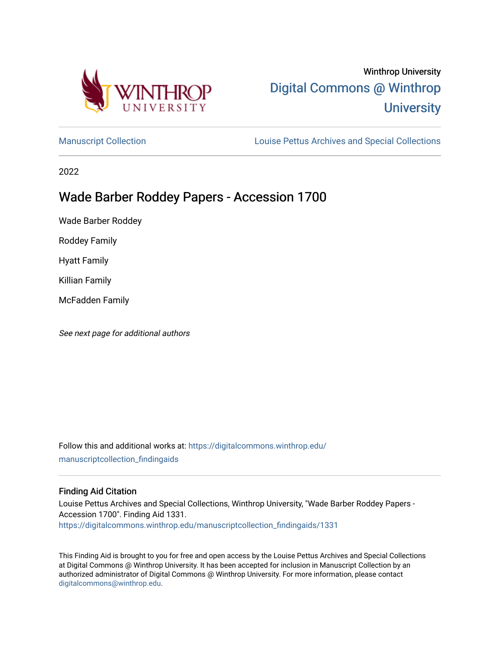

# Winthrop University [Digital Commons @ Winthrop](https://digitalcommons.winthrop.edu/)  **University**

[Manuscript Collection](https://digitalcommons.winthrop.edu/manuscriptcollection_findingaids) **Louise Pettus Archives and Special Collections** 

2022

# Wade Barber Roddey Papers - Accession 1700

Wade Barber Roddey

Roddey Family

Hyatt Family

Killian Family

McFadden Family

See next page for additional authors

Follow this and additional works at: [https://digitalcommons.winthrop.edu/](https://digitalcommons.winthrop.edu/manuscriptcollection_findingaids?utm_source=digitalcommons.winthrop.edu%2Fmanuscriptcollection_findingaids%2F1331&utm_medium=PDF&utm_campaign=PDFCoverPages) [manuscriptcollection\\_findingaids](https://digitalcommons.winthrop.edu/manuscriptcollection_findingaids?utm_source=digitalcommons.winthrop.edu%2Fmanuscriptcollection_findingaids%2F1331&utm_medium=PDF&utm_campaign=PDFCoverPages) 

#### Finding Aid Citation

Louise Pettus Archives and Special Collections, Winthrop University, "Wade Barber Roddey Papers - Accession 1700". Finding Aid 1331. [https://digitalcommons.winthrop.edu/manuscriptcollection\\_findingaids/1331](https://digitalcommons.winthrop.edu/manuscriptcollection_findingaids/1331?utm_source=digitalcommons.winthrop.edu%2Fmanuscriptcollection_findingaids%2F1331&utm_medium=PDF&utm_campaign=PDFCoverPages) 

This Finding Aid is brought to you for free and open access by the Louise Pettus Archives and Special Collections at Digital Commons @ Winthrop University. It has been accepted for inclusion in Manuscript Collection by an authorized administrator of Digital Commons @ Winthrop University. For more information, please contact [digitalcommons@winthrop.edu](mailto:digitalcommons@winthrop.edu).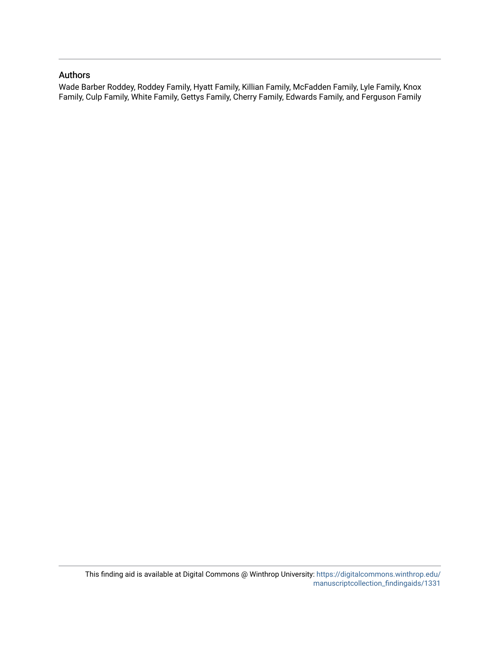#### Authors

Wade Barber Roddey, Roddey Family, Hyatt Family, Killian Family, McFadden Family, Lyle Family, Knox Family, Culp Family, White Family, Gettys Family, Cherry Family, Edwards Family, and Ferguson Family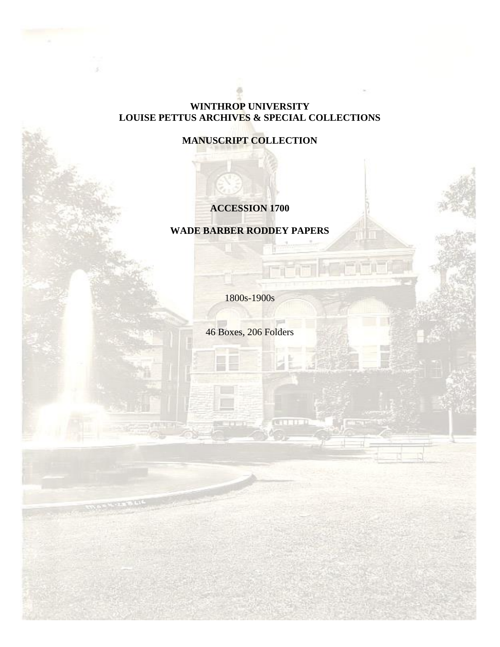# **WINTHROP UNIVERSITY LOUISE PETTUS ARCHIVES & SPECIAL COLLECTIONS**

# **MANUSCRIPT COLLECTION**

# **ACCESSION 1700**

# **WADE BARBER RODDEY PAPERS**

1800s-1900s

46 Boxes, 206 Folders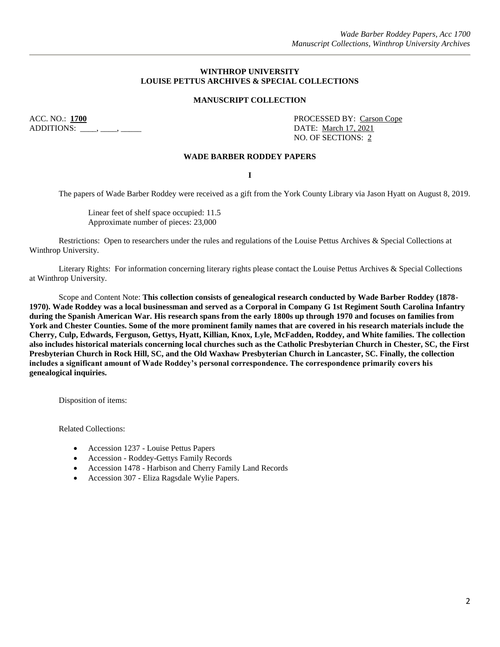#### **WINTHROP UNIVERSITY LOUISE PETTUS ARCHIVES & SPECIAL COLLECTIONS**

#### **MANUSCRIPT COLLECTION**

ACC. NO.: **1700** PROCESSED BY: Carson Cope ADDITIONS: \_\_\_\_, \_\_\_\_, \_\_\_\_\_\_\_ DATE: March 17, 2021

NO. OF SECTIONS: 2

#### **WADE BARBER RODDEY PAPERS**

**I**

The papers of Wade Barber Roddey were received as a gift from the York County Library via Jason Hyatt on August 8, 2019.

Linear feet of shelf space occupied: 11.5 Approximate number of pieces: 23,000

Restrictions: Open to researchers under the rules and regulations of the Louise Pettus Archives & Special Collections at Winthrop University.

Literary Rights: For information concerning literary rights please contact the Louise Pettus Archives & Special Collections at Winthrop University.

Scope and Content Note: **This collection consists of genealogical research conducted by Wade Barber Roddey (1878- 1970). Wade Roddey was a local businessman and served as a Corporal in Company G 1st Regiment South Carolina Infantry during the Spanish American War. His research spans from the early 1800s up through 1970 and focuses on families from York and Chester Counties. Some of the more prominent family names that are covered in his research materials include the Cherry, Culp, Edwards, Ferguson, Gettys, Hyatt, Killian, Knox, Lyle, McFadden, Roddey, and White families. The collection also includes historical materials concerning local churches such as the Catholic Presbyterian Church in Chester, SC, the First Presbyterian Church in Rock Hill, SC, and the Old Waxhaw Presbyterian Church in Lancaster, SC. Finally, the collection includes a significant amount of Wade Roddey's personal correspondence. The correspondence primarily covers his genealogical inquiries.**

Disposition of items:

Related Collections:

- Accession 1237 Louise Pettus Papers
- Accession Roddey-Gettys Family Records
- Accession 1478 Harbison and Cherry Family Land Records
- Accession 307 Eliza Ragsdale Wylie Papers.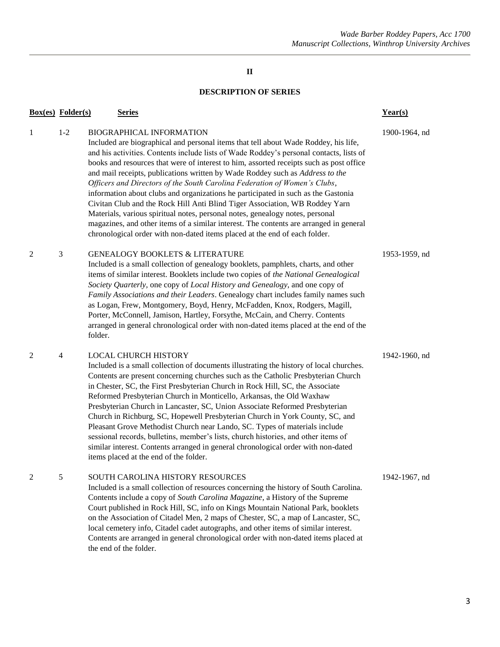#### *Wade Barber Roddey Papers, Acc 1700 Manuscript Collections, Winthrop University Archives*

# **II**

## **DESCRIPTION OF SERIES**

| <b>Box(es)</b> Folder(s) |                | <b>Series</b>                                                                                                                                                                                                                                                                                                                                                                                                                                                                                                                                                                                                                                                                                                                                                                                                                                                                                           | Year(s)       |
|--------------------------|----------------|---------------------------------------------------------------------------------------------------------------------------------------------------------------------------------------------------------------------------------------------------------------------------------------------------------------------------------------------------------------------------------------------------------------------------------------------------------------------------------------------------------------------------------------------------------------------------------------------------------------------------------------------------------------------------------------------------------------------------------------------------------------------------------------------------------------------------------------------------------------------------------------------------------|---------------|
| 1                        | $1 - 2$        | <b>BIOGRAPHICAL INFORMATION</b><br>Included are biographical and personal items that tell about Wade Roddey, his life,<br>and his activities. Contents include lists of Wade Roddey's personal contacts, lists of<br>books and resources that were of interest to him, assorted receipts such as post office<br>and mail receipts, publications written by Wade Roddey such as Address to the<br>Officers and Directors of the South Carolina Federation of Women's Clubs,<br>information about clubs and organizations he participated in such as the Gastonia<br>Civitan Club and the Rock Hill Anti Blind Tiger Association, WB Roddey Yarn<br>Materials, various spiritual notes, personal notes, genealogy notes, personal<br>magazines, and other items of a similar interest. The contents are arranged in general<br>chronological order with non-dated items placed at the end of each folder. | 1900-1964, nd |
| 2                        | 3              | <b>GENEALOGY BOOKLETS &amp; LITERATURE</b><br>Included is a small collection of genealogy booklets, pamphlets, charts, and other<br>items of similar interest. Booklets include two copies of the National Genealogical<br>Society Quarterly, one copy of Local History and Genealogy, and one copy of<br>Family Associations and their Leaders. Genealogy chart includes family names such<br>as Logan, Frew, Montgomery, Boyd, Henry, McFadden, Knox, Rodgers, Magill,<br>Porter, McConnell, Jamison, Hartley, Forsythe, McCain, and Cherry. Contents<br>arranged in general chronological order with non-dated items placed at the end of the<br>folder.                                                                                                                                                                                                                                             | 1953-1959, nd |
| 2                        | $\overline{4}$ | <b>LOCAL CHURCH HISTORY</b><br>Included is a small collection of documents illustrating the history of local churches.<br>Contents are present concerning churches such as the Catholic Presbyterian Church<br>in Chester, SC, the First Presbyterian Church in Rock Hill, SC, the Associate<br>Reformed Presbyterian Church in Monticello, Arkansas, the Old Waxhaw<br>Presbyterian Church in Lancaster, SC, Union Associate Reformed Presbyterian<br>Church in Richburg, SC, Hopewell Presbyterian Church in York County, SC, and<br>Pleasant Grove Methodist Church near Lando, SC. Types of materials include<br>sessional records, bulletins, member's lists, church histories, and other items of<br>similar interest. Contents arranged in general chronological order with non-dated<br>items placed at the end of the folder.                                                                  | 1942-1960, nd |
| 2                        | 5              | SOUTH CAROLINA HISTORY RESOURCES<br>Included is a small collection of resources concerning the history of South Carolina.<br>Contents include a copy of South Carolina Magazine, a History of the Supreme<br>Court published in Rock Hill, SC, info on Kings Mountain National Park, booklets<br>on the Association of Citadel Men, 2 maps of Chester, SC, a map of Lancaster, SC,<br>local cemetery info, Citadel cadet autographs, and other items of similar interest.<br>Contents are arranged in general chronological order with non-dated items placed at<br>the end of the folder.                                                                                                                                                                                                                                                                                                              | 1942-1967, nd |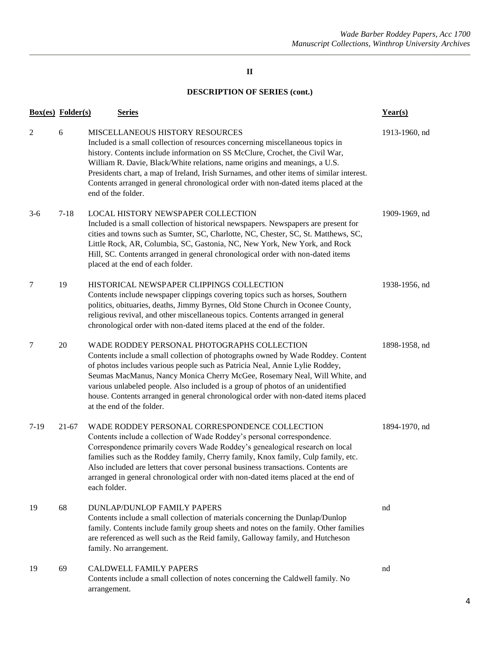|       | <b>Box(es)</b> Folder(s) | <b>Series</b>                                                                                                                                                                                                                                                                                                                                                                                                                                                                                        | Year(s)       |
|-------|--------------------------|------------------------------------------------------------------------------------------------------------------------------------------------------------------------------------------------------------------------------------------------------------------------------------------------------------------------------------------------------------------------------------------------------------------------------------------------------------------------------------------------------|---------------|
| 2     | 6                        | MISCELLANEOUS HISTORY RESOURCES<br>Included is a small collection of resources concerning miscellaneous topics in<br>history. Contents include information on SS McClure, Crochet, the Civil War,<br>William R. Davie, Black/White relations, name origins and meanings, a U.S.<br>Presidents chart, a map of Ireland, Irish Surnames, and other items of similar interest.<br>Contents arranged in general chronological order with non-dated items placed at the<br>end of the folder.             | 1913-1960, nd |
| $3-6$ | $7 - 18$                 | LOCAL HISTORY NEWSPAPER COLLECTION<br>Included is a small collection of historical newspapers. Newspapers are present for<br>cities and towns such as Sumter, SC, Charlotte, NC, Chester, SC, St. Matthews, SC,<br>Little Rock, AR, Columbia, SC, Gastonia, NC, New York, New York, and Rock<br>Hill, SC. Contents arranged in general chronological order with non-dated items<br>placed at the end of each folder.                                                                                 | 1909-1969, nd |
| 7     | 19                       | HISTORICAL NEWSPAPER CLIPPINGS COLLECTION<br>Contents include newspaper clippings covering topics such as horses, Southern<br>politics, obituaries, deaths, Jimmy Byrnes, Old Stone Church in Oconee County,<br>religious revival, and other miscellaneous topics. Contents arranged in general<br>chronological order with non-dated items placed at the end of the folder.                                                                                                                         | 1938-1956, nd |
| 7     | 20                       | WADE RODDEY PERSONAL PHOTOGRAPHS COLLECTION<br>Contents include a small collection of photographs owned by Wade Roddey. Content<br>of photos includes various people such as Patricia Neal, Annie Lylie Roddey,<br>Seumas MacManus, Nancy Monica Cherry McGee, Rosemary Neal, Will White, and<br>various unlabeled people. Also included is a group of photos of an unidentified<br>house. Contents arranged in general chronological order with non-dated items placed<br>at the end of the folder. | 1898-1958, nd |
| 7-19  | $21-67$                  | WADE RODDEY PERSONAL CORRESPONDENCE COLLECTION<br>Contents include a collection of Wade Roddey's personal correspondence.<br>Correspondence primarily covers Wade Roddey's genealogical research on local<br>families such as the Roddey family, Cherry family, Knox family, Culp family, etc.<br>Also included are letters that cover personal business transactions. Contents are<br>arranged in general chronological order with non-dated items placed at the end of<br>each folder.             | 1894-1970, nd |
| 19    | 68                       | <b>DUNLAP/DUNLOP FAMILY PAPERS</b><br>Contents include a small collection of materials concerning the Dunlap/Dunlop<br>family. Contents include family group sheets and notes on the family. Other families<br>are referenced as well such as the Reid family, Galloway family, and Hutcheson<br>family. No arrangement.                                                                                                                                                                             | nd            |
| 19    | 69                       | <b>CALDWELL FAMILY PAPERS</b><br>Contents include a small collection of notes concerning the Caldwell family. No<br>arrangement.                                                                                                                                                                                                                                                                                                                                                                     | nd            |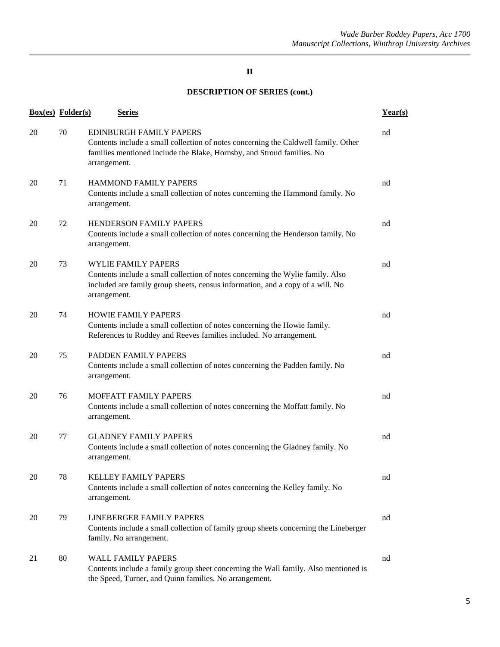|    | <b>Box(es)</b> Folder(s) | <b>Series</b>                                                                                                                                                                                                  | Year(s) |
|----|--------------------------|----------------------------------------------------------------------------------------------------------------------------------------------------------------------------------------------------------------|---------|
| 20 | 70                       | EDINBURGH FAMILY PAPERS<br>Contents include a small collection of notes concerning the Caldwell family. Other<br>families mentioned include the Blake, Hornsby, and Stroud families. No<br>arrangement.        | nd      |
| 20 | 71                       | <b>HAMMOND FAMILY PAPERS</b><br>Contents include a small collection of notes concerning the Hammond family. No<br>arrangement.                                                                                 | nd      |
| 20 | 72                       | HENDERSON FAMILY PAPERS<br>Contents include a small collection of notes concerning the Henderson family. No<br>arrangement.                                                                                    | nd      |
| 20 | 73                       | <b>WYLIE FAMILY PAPERS</b><br>Contents include a small collection of notes concerning the Wylie family. Also<br>included are family group sheets, census information, and a copy of a will. No<br>arrangement. | nd      |
| 20 | 74                       | <b>HOWIE FAMILY PAPERS</b><br>Contents include a small collection of notes concerning the Howie family.<br>References to Roddey and Reeves families included. No arrangement.                                  | nd      |
| 20 | 75                       | PADDEN FAMILY PAPERS<br>Contents include a small collection of notes concerning the Padden family. No<br>arrangement.                                                                                          | nd      |
| 20 | 76                       | MOFFATT FAMILY PAPERS<br>Contents include a small collection of notes concerning the Moffatt family. No<br>arrangement.                                                                                        | nd      |
| 20 | 77                       | <b>GLADNEY FAMILY PAPERS</b><br>Contents include a small collection of notes concerning the Gladney family. No<br>arrangement.                                                                                 | nd      |
| 20 | 78                       | <b>KELLEY FAMILY PAPERS</b><br>Contents include a small collection of notes concerning the Kelley family. No<br>arrangement.                                                                                   | nd      |
| 20 | 79                       | <b>LINEBERGER FAMILY PAPERS</b><br>Contents include a small collection of family group sheets concerning the Lineberger<br>family. No arrangement.                                                             | nd      |
| 21 | 80                       | <b>WALL FAMILY PAPERS</b><br>Contents include a family group sheet concerning the Wall family. Also mentioned is<br>the Speed, Turner, and Quinn families. No arrangement.                                     | nd      |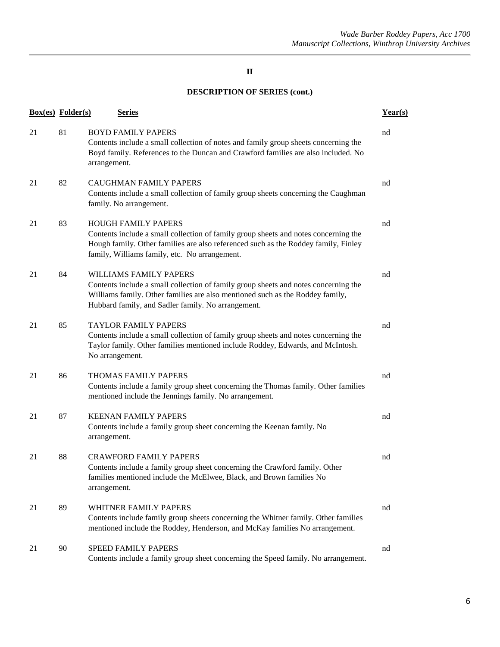| <b>Box(es)</b> Folder(s) |    | <b>Series</b>                                                                                                                                                                                                                                               | Year(s) |
|--------------------------|----|-------------------------------------------------------------------------------------------------------------------------------------------------------------------------------------------------------------------------------------------------------------|---------|
| 21                       | 81 | <b>BOYD FAMILY PAPERS</b><br>Contents include a small collection of notes and family group sheets concerning the<br>Boyd family. References to the Duncan and Crawford families are also included. No<br>arrangement.                                       | nd      |
| 21                       | 82 | <b>CAUGHMAN FAMILY PAPERS</b><br>Contents include a small collection of family group sheets concerning the Caughman<br>family. No arrangement.                                                                                                              | nd      |
| 21                       | 83 | <b>HOUGH FAMILY PAPERS</b><br>Contents include a small collection of family group sheets and notes concerning the<br>Hough family. Other families are also referenced such as the Roddey family, Finley<br>family, Williams family, etc. No arrangement.    | nd      |
| 21                       | 84 | <b>WILLIAMS FAMILY PAPERS</b><br>Contents include a small collection of family group sheets and notes concerning the<br>Williams family. Other families are also mentioned such as the Roddey family,<br>Hubbard family, and Sadler family. No arrangement. | nd      |
| 21                       | 85 | <b>TAYLOR FAMILY PAPERS</b><br>Contents include a small collection of family group sheets and notes concerning the<br>Taylor family. Other families mentioned include Roddey, Edwards, and McIntosh.<br>No arrangement.                                     | nd      |
| 21                       | 86 | THOMAS FAMILY PAPERS<br>Contents include a family group sheet concerning the Thomas family. Other families<br>mentioned include the Jennings family. No arrangement.                                                                                        | nd      |
| 21                       | 87 | <b>KEENAN FAMILY PAPERS</b><br>Contents include a family group sheet concerning the Keenan family. No<br>arrangement.                                                                                                                                       | nd      |
| 21                       | 88 | <b>CRAWFORD FAMILY PAPERS</b><br>Contents include a family group sheet concerning the Crawford family. Other<br>families mentioned include the McElwee, Black, and Brown families No<br>arrangement.                                                        | nd      |
| 21                       | 89 | WHITNER FAMILY PAPERS<br>Contents include family group sheets concerning the Whitner family. Other families<br>mentioned include the Roddey, Henderson, and McKay families No arrangement.                                                                  | nd      |
| 21                       | 90 | SPEED FAMILY PAPERS<br>Contents include a family group sheet concerning the Speed family. No arrangement.                                                                                                                                                   | nd      |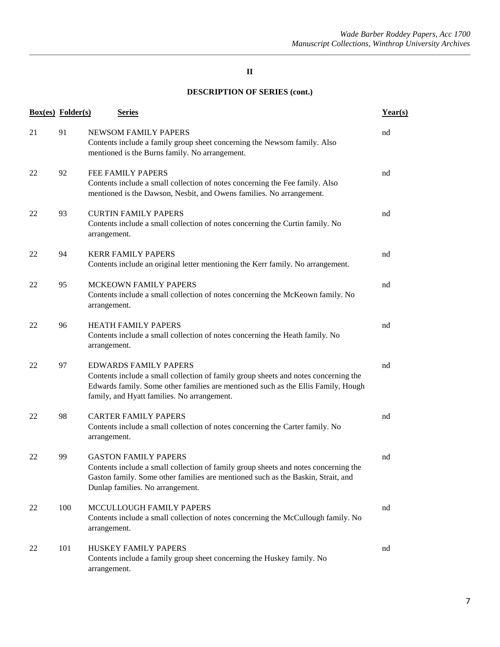| <b>Box(es)</b> Folder(s) |     | <b>Series</b>                                                                                                                                                                                                                                           | Year(s) |
|--------------------------|-----|---------------------------------------------------------------------------------------------------------------------------------------------------------------------------------------------------------------------------------------------------------|---------|
| 21                       | 91  | NEWSOM FAMILY PAPERS<br>Contents include a family group sheet concerning the Newsom family. Also<br>mentioned is the Burns family. No arrangement.                                                                                                      | nd      |
| 22                       | 92  | <b>FEE FAMILY PAPERS</b><br>Contents include a small collection of notes concerning the Fee family. Also<br>mentioned is the Dawson, Nesbit, and Owens families. No arrangement.                                                                        | nd      |
| 22                       | 93  | <b>CURTIN FAMILY PAPERS</b><br>Contents include a small collection of notes concerning the Curtin family. No<br>arrangement.                                                                                                                            | nd      |
| 22                       | 94  | <b>KERR FAMILY PAPERS</b><br>Contents include an original letter mentioning the Kerr family. No arrangement.                                                                                                                                            | nd      |
| 22                       | 95  | MCKEOWN FAMILY PAPERS<br>Contents include a small collection of notes concerning the McKeown family. No<br>arrangement.                                                                                                                                 | nd      |
| 22                       | 96  | HEATH FAMILY PAPERS<br>Contents include a small collection of notes concerning the Heath family. No<br>arrangement.                                                                                                                                     | nd      |
| 22                       | 97  | <b>EDWARDS FAMILY PAPERS</b><br>Contents include a small collection of family group sheets and notes concerning the<br>Edwards family. Some other families are mentioned such as the Ellis Family, Hough<br>family, and Hyatt families. No arrangement. | nd      |
| 22                       | 98  | <b>CARTER FAMILY PAPERS</b><br>Contents include a small collection of notes concerning the Carter family. No<br>arrangement.                                                                                                                            | nd      |
| 22                       | 99  | <b>GASTON FAMILY PAPERS</b><br>Contents include a small collection of family group sheets and notes concerning the<br>Gaston family. Some other families are mentioned such as the Baskin, Strait, and<br>Dunlap families. No arrangement.              | nd      |
| 22                       | 100 | MCCULLOUGH FAMILY PAPERS<br>Contents include a small collection of notes concerning the McCullough family. No<br>arrangement.                                                                                                                           | nd      |
| 22                       | 101 | HUSKEY FAMILY PAPERS<br>Contents include a family group sheet concerning the Huskey family. No<br>arrangement.                                                                                                                                          | nd      |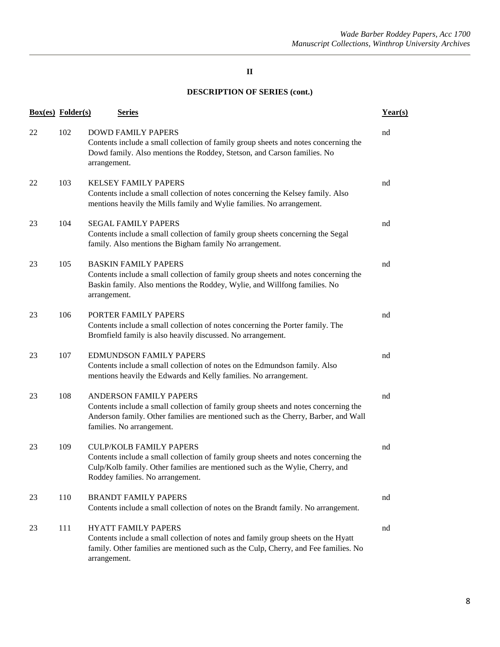|    | <b>Box(es)</b> Folder(s) | <b>Series</b>                                                                                                                                                                                                                              | Year(s) |
|----|--------------------------|--------------------------------------------------------------------------------------------------------------------------------------------------------------------------------------------------------------------------------------------|---------|
| 22 | 102                      | <b>DOWD FAMILY PAPERS</b><br>Contents include a small collection of family group sheets and notes concerning the<br>Dowd family. Also mentions the Roddey, Stetson, and Carson families. No<br>arrangement.                                | nd      |
| 22 | 103                      | <b>KELSEY FAMILY PAPERS</b><br>Contents include a small collection of notes concerning the Kelsey family. Also<br>mentions heavily the Mills family and Wylie families. No arrangement.                                                    | nd      |
| 23 | 104                      | <b>SEGAL FAMILY PAPERS</b><br>Contents include a small collection of family group sheets concerning the Segal<br>family. Also mentions the Bigham family No arrangement.                                                                   | nd      |
| 23 | 105                      | <b>BASKIN FAMILY PAPERS</b><br>Contents include a small collection of family group sheets and notes concerning the<br>Baskin family. Also mentions the Roddey, Wylie, and Willfong families. No<br>arrangement.                            | nd      |
| 23 | 106                      | PORTER FAMILY PAPERS<br>Contents include a small collection of notes concerning the Porter family. The<br>Bromfield family is also heavily discussed. No arrangement.                                                                      | nd      |
| 23 | 107                      | <b>EDMUNDSON FAMILY PAPERS</b><br>Contents include a small collection of notes on the Edmundson family. Also<br>mentions heavily the Edwards and Kelly families. No arrangement.                                                           | nd      |
| 23 | 108                      | ANDERSON FAMILY PAPERS<br>Contents include a small collection of family group sheets and notes concerning the<br>Anderson family. Other families are mentioned such as the Cherry, Barber, and Wall<br>families. No arrangement.           | nd      |
| 23 | 109                      | <b>CULP/KOLB FAMILY PAPERS</b><br>Contents include a small collection of family group sheets and notes concerning the<br>Culp/Kolb family. Other families are mentioned such as the Wylie, Cherry, and<br>Roddey families. No arrangement. | nd      |
| 23 | 110                      | <b>BRANDT FAMILY PAPERS</b><br>Contents include a small collection of notes on the Brandt family. No arrangement.                                                                                                                          | nd      |
| 23 | 111                      | <b>HYATT FAMILY PAPERS</b><br>Contents include a small collection of notes and family group sheets on the Hyatt<br>family. Other families are mentioned such as the Culp, Cherry, and Fee families. No<br>arrangement.                     | nd      |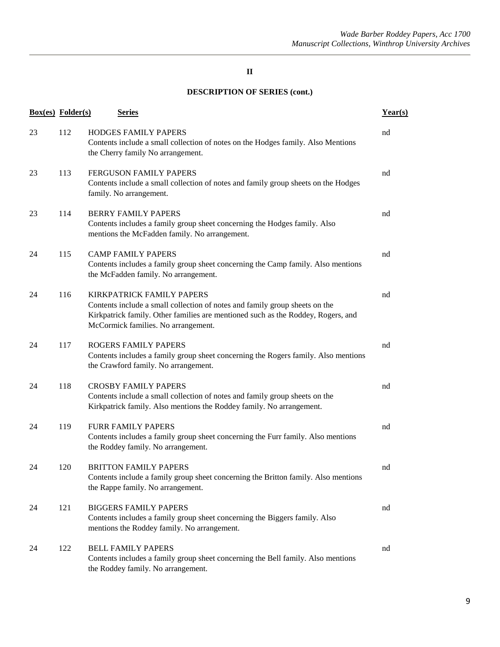|    | <b>Box(es)</b> Folder(s) | <b>Series</b>                                                                                                                                                                                                                              | Year(s) |
|----|--------------------------|--------------------------------------------------------------------------------------------------------------------------------------------------------------------------------------------------------------------------------------------|---------|
| 23 | 112                      | <b>HODGES FAMILY PAPERS</b><br>Contents include a small collection of notes on the Hodges family. Also Mentions<br>the Cherry family No arrangement.                                                                                       | nd      |
| 23 | 113                      | <b>FERGUSON FAMILY PAPERS</b><br>Contents include a small collection of notes and family group sheets on the Hodges<br>family. No arrangement.                                                                                             | nd      |
| 23 | 114                      | <b>BERRY FAMILY PAPERS</b><br>Contents includes a family group sheet concerning the Hodges family. Also<br>mentions the McFadden family. No arrangement.                                                                                   | nd      |
| 24 | 115                      | <b>CAMP FAMILY PAPERS</b><br>Contents includes a family group sheet concerning the Camp family. Also mentions<br>the McFadden family. No arrangement.                                                                                      | nd      |
| 24 | 116                      | <b>KIRKPATRICK FAMILY PAPERS</b><br>Contents include a small collection of notes and family group sheets on the<br>Kirkpatrick family. Other families are mentioned such as the Roddey, Rogers, and<br>McCormick families. No arrangement. | nd      |
| 24 | 117                      | <b>ROGERS FAMILY PAPERS</b><br>Contents includes a family group sheet concerning the Rogers family. Also mentions<br>the Crawford family. No arrangement.                                                                                  | nd      |
| 24 | 118                      | <b>CROSBY FAMILY PAPERS</b><br>Contents include a small collection of notes and family group sheets on the<br>Kirkpatrick family. Also mentions the Roddey family. No arrangement.                                                         | nd      |
| 24 | 119                      | <b>FURR FAMILY PAPERS</b><br>Contents includes a family group sheet concerning the Furr family. Also mentions<br>the Roddey family. No arrangement.                                                                                        | nd      |
| 24 | 120                      | <b>BRITTON FAMILY PAPERS</b><br>Contents include a family group sheet concerning the Britton family. Also mentions<br>the Rappe family. No arrangement.                                                                                    | nd      |
| 24 | 121                      | <b>BIGGERS FAMILY PAPERS</b><br>Contents includes a family group sheet concerning the Biggers family. Also<br>mentions the Roddey family. No arrangement.                                                                                  | nd      |
| 24 | 122                      | <b>BELL FAMILY PAPERS</b><br>Contents includes a family group sheet concerning the Bell family. Also mentions<br>the Roddey family. No arrangement.                                                                                        | nd      |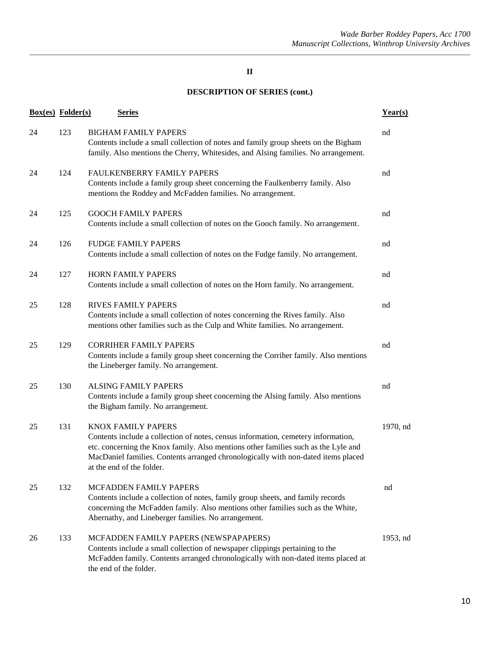| <b>Box(es)</b> Folder(s) |     | <b>Series</b>                                                                                                                                                                                                                                                                                                          | Year(s)  |
|--------------------------|-----|------------------------------------------------------------------------------------------------------------------------------------------------------------------------------------------------------------------------------------------------------------------------------------------------------------------------|----------|
| 24                       | 123 | <b>BIGHAM FAMILY PAPERS</b><br>Contents include a small collection of notes and family group sheets on the Bigham<br>family. Also mentions the Cherry, Whitesides, and Alsing families. No arrangement.                                                                                                                | nd       |
| 24                       | 124 | <b>FAULKENBERRY FAMILY PAPERS</b><br>Contents include a family group sheet concerning the Faulkenberry family. Also<br>mentions the Roddey and McFadden families. No arrangement.                                                                                                                                      | nd       |
| 24                       | 125 | <b>GOOCH FAMILY PAPERS</b><br>Contents include a small collection of notes on the Gooch family. No arrangement.                                                                                                                                                                                                        | nd       |
| 24                       | 126 | <b>FUDGE FAMILY PAPERS</b><br>Contents include a small collection of notes on the Fudge family. No arrangement.                                                                                                                                                                                                        | nd       |
| 24                       | 127 | <b>HORN FAMILY PAPERS</b><br>Contents include a small collection of notes on the Horn family. No arrangement.                                                                                                                                                                                                          | nd       |
| 25                       | 128 | <b>RIVES FAMILY PAPERS</b><br>Contents include a small collection of notes concerning the Rives family. Also<br>mentions other families such as the Culp and White families. No arrangement.                                                                                                                           | nd       |
| 25                       | 129 | <b>CORRIHER FAMILY PAPERS</b><br>Contents include a family group sheet concerning the Corriher family. Also mentions<br>the Lineberger family. No arrangement.                                                                                                                                                         | nd       |
| 25                       | 130 | <b>ALSING FAMILY PAPERS</b><br>Contents include a family group sheet concerning the Alsing family. Also mentions<br>the Bigham family. No arrangement.                                                                                                                                                                 | nd       |
| 25                       | 131 | <b>KNOX FAMILY PAPERS</b><br>Contents include a collection of notes, census information, cemetery information,<br>etc. concerning the Knox family. Also mentions other families such as the Lyle and<br>MacDaniel families. Contents arranged chronologically with non-dated items placed<br>at the end of the folder. | 1970, nd |
| 25                       | 132 | MCFADDEN FAMILY PAPERS<br>Contents include a collection of notes, family group sheets, and family records<br>concerning the McFadden family. Also mentions other families such as the White,<br>Abernathy, and Lineberger families. No arrangement.                                                                    | nd       |
| 26                       | 133 | MCFADDEN FAMILY PAPERS (NEWSPAPAPERS)<br>Contents include a small collection of newspaper clippings pertaining to the<br>McFadden family. Contents arranged chronologically with non-dated items placed at<br>the end of the folder.                                                                                   | 1953, nd |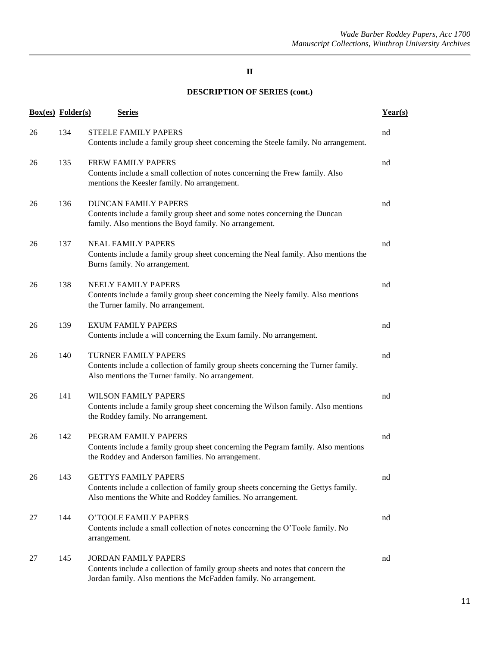|    | <b>Box(es)</b> Folder(s) | <b>Series</b>                                                                                                                                                                       | Year(s) |
|----|--------------------------|-------------------------------------------------------------------------------------------------------------------------------------------------------------------------------------|---------|
| 26 | 134                      | <b>STEELE FAMILY PAPERS</b><br>Contents include a family group sheet concerning the Steele family. No arrangement.                                                                  | nd      |
| 26 | 135                      | <b>FREW FAMILY PAPERS</b><br>Contents include a small collection of notes concerning the Frew family. Also<br>mentions the Keesler family. No arrangement.                          | nd      |
| 26 | 136                      | <b>DUNCAN FAMILY PAPERS</b><br>Contents include a family group sheet and some notes concerning the Duncan<br>family. Also mentions the Boyd family. No arrangement.                 | nd      |
| 26 | 137                      | <b>NEAL FAMILY PAPERS</b><br>Contents include a family group sheet concerning the Neal family. Also mentions the<br>Burns family. No arrangement.                                   | nd      |
| 26 | 138                      | NEELY FAMILY PAPERS<br>Contents include a family group sheet concerning the Neely family. Also mentions<br>the Turner family. No arrangement.                                       | nd      |
| 26 | 139                      | <b>EXUM FAMILY PAPERS</b><br>Contents include a will concerning the Exum family. No arrangement.                                                                                    | nd      |
| 26 | 140                      | <b>TURNER FAMILY PAPERS</b><br>Contents include a collection of family group sheets concerning the Turner family.<br>Also mentions the Turner family. No arrangement.               | nd      |
| 26 | 141                      | <b>WILSON FAMILY PAPERS</b><br>Contents include a family group sheet concerning the Wilson family. Also mentions<br>the Roddey family. No arrangement.                              | nd      |
| 26 | 142                      | PEGRAM FAMILY PAPERS<br>Contents include a family group sheet concerning the Pegram family. Also mentions<br>the Roddey and Anderson families. No arrangement.                      | nd      |
| 26 | 143                      | <b>GETTYS FAMILY PAPERS</b><br>Contents include a collection of family group sheets concerning the Gettys family.<br>Also mentions the White and Roddey families. No arrangement.   | nd      |
| 27 | 144                      | O'TOOLE FAMILY PAPERS<br>Contents include a small collection of notes concerning the O'Toole family. No<br>arrangement.                                                             | nd      |
| 27 | 145                      | <b>JORDAN FAMILY PAPERS</b><br>Contents include a collection of family group sheets and notes that concern the<br>Jordan family. Also mentions the McFadden family. No arrangement. | nd      |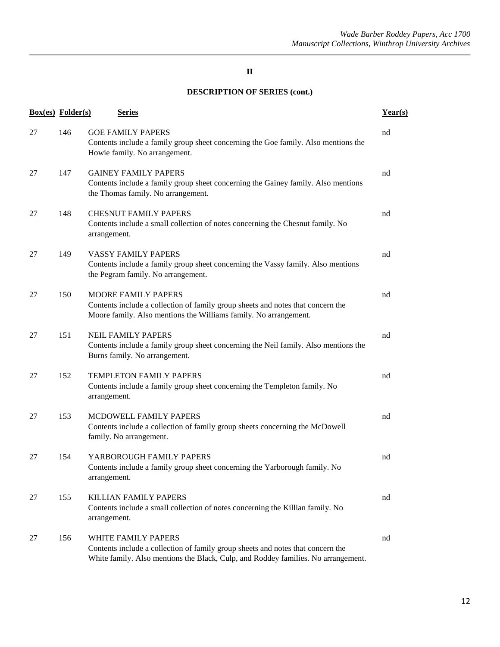|    | <b>Box(es)</b> Folder(s) | <b>Series</b>                                                                                                                                                                               | Year(s) |
|----|--------------------------|---------------------------------------------------------------------------------------------------------------------------------------------------------------------------------------------|---------|
| 27 | 146                      | <b>GOE FAMILY PAPERS</b><br>Contents include a family group sheet concerning the Goe family. Also mentions the<br>Howie family. No arrangement.                                             | nd      |
| 27 | 147                      | <b>GAINEY FAMILY PAPERS</b><br>Contents include a family group sheet concerning the Gainey family. Also mentions<br>the Thomas family. No arrangement.                                      | nd      |
| 27 | 148                      | <b>CHESNUT FAMILY PAPERS</b><br>Contents include a small collection of notes concerning the Chesnut family. No<br>arrangement.                                                              | nd      |
| 27 | 149                      | <b>VASSY FAMILY PAPERS</b><br>Contents include a family group sheet concerning the Vassy family. Also mentions<br>the Pegram family. No arrangement.                                        | nd      |
| 27 | 150                      | <b>MOORE FAMILY PAPERS</b><br>Contents include a collection of family group sheets and notes that concern the<br>Moore family. Also mentions the Williams family. No arrangement.           | nd      |
| 27 | 151                      | <b>NEIL FAMILY PAPERS</b><br>Contents include a family group sheet concerning the Neil family. Also mentions the<br>Burns family. No arrangement.                                           | nd      |
| 27 | 152                      | <b>TEMPLETON FAMILY PAPERS</b><br>Contents include a family group sheet concerning the Templeton family. No<br>arrangement.                                                                 | nd      |
| 27 | 153                      | MCDOWELL FAMILY PAPERS<br>Contents include a collection of family group sheets concerning the McDowell<br>family. No arrangement.                                                           | nd      |
| 27 | 154                      | YARBOROUGH FAMILY PAPERS<br>Contents include a family group sheet concerning the Yarborough family. No<br>arrangement.                                                                      | nd      |
| 27 | 155                      | <b>KILLIAN FAMILY PAPERS</b><br>Contents include a small collection of notes concerning the Killian family. No<br>arrangement.                                                              | nd      |
| 27 | 156                      | WHITE FAMILY PAPERS<br>Contents include a collection of family group sheets and notes that concern the<br>White family. Also mentions the Black, Culp, and Roddey families. No arrangement. | nd      |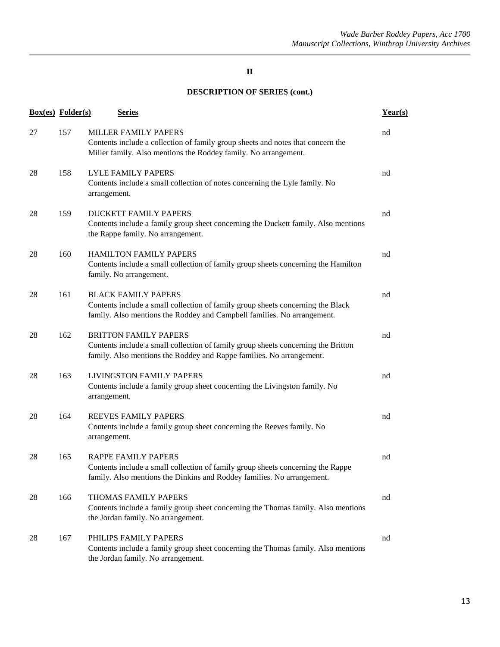| <b>Box(es)</b> Folder(s) |     | <b>Series</b>                                                                                                                                                                             | Year(s) |
|--------------------------|-----|-------------------------------------------------------------------------------------------------------------------------------------------------------------------------------------------|---------|
| 27                       | 157 | <b>MILLER FAMILY PAPERS</b><br>Contents include a collection of family group sheets and notes that concern the<br>Miller family. Also mentions the Roddey family. No arrangement.         | nd      |
| 28                       | 158 | <b>LYLE FAMILY PAPERS</b><br>Contents include a small collection of notes concerning the Lyle family. No<br>arrangement.                                                                  | nd      |
| 28                       | 159 | <b>DUCKETT FAMILY PAPERS</b><br>Contents include a family group sheet concerning the Duckett family. Also mentions<br>the Rappe family. No arrangement.                                   | nd      |
| 28                       | 160 | <b>HAMILTON FAMILY PAPERS</b><br>Contents include a small collection of family group sheets concerning the Hamilton<br>family. No arrangement.                                            | nd      |
| 28                       | 161 | <b>BLACK FAMILY PAPERS</b><br>Contents include a small collection of family group sheets concerning the Black<br>family. Also mentions the Roddey and Campbell families. No arrangement.  | nd      |
| 28                       | 162 | <b>BRITTON FAMILY PAPERS</b><br>Contents include a small collection of family group sheets concerning the Britton<br>family. Also mentions the Roddey and Rappe families. No arrangement. | nd      |
| 28                       | 163 | <b>LIVINGSTON FAMILY PAPERS</b><br>Contents include a family group sheet concerning the Livingston family. No<br>arrangement.                                                             | nd      |
| 28                       | 164 | <b>REEVES FAMILY PAPERS</b><br>Contents include a family group sheet concerning the Reeves family. No<br>arrangement.                                                                     | nd      |
| 28                       | 165 | <b>RAPPE FAMILY PAPERS</b><br>Contents include a small collection of family group sheets concerning the Rappe<br>family. Also mentions the Dinkins and Roddey families. No arrangement.   | nd      |
| 28                       | 166 | THOMAS FAMILY PAPERS<br>Contents include a family group sheet concerning the Thomas family. Also mentions<br>the Jordan family. No arrangement.                                           | nd      |
| 28                       | 167 | PHILIPS FAMILY PAPERS<br>Contents include a family group sheet concerning the Thomas family. Also mentions<br>the Jordan family. No arrangement.                                          | nd      |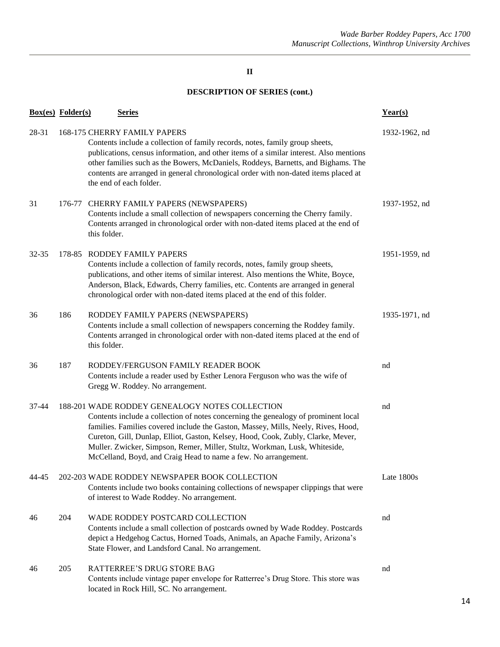|       | <b>Box(es)</b> Folder(s) | <b>Series</b>                                                                                                                                                                                                                                                                                                                                                                                                                                                 | Year(s)       |
|-------|--------------------------|---------------------------------------------------------------------------------------------------------------------------------------------------------------------------------------------------------------------------------------------------------------------------------------------------------------------------------------------------------------------------------------------------------------------------------------------------------------|---------------|
| 28-31 |                          | 168-175 CHERRY FAMILY PAPERS<br>Contents include a collection of family records, notes, family group sheets,<br>publications, census information, and other items of a similar interest. Also mentions<br>other families such as the Bowers, McDaniels, Roddeys, Barnetts, and Bighams. The<br>contents are arranged in general chronological order with non-dated items placed at<br>the end of each folder.                                                 | 1932-1962, nd |
| 31    |                          | 176-77 CHERRY FAMILY PAPERS (NEWSPAPERS)<br>Contents include a small collection of newspapers concerning the Cherry family.<br>Contents arranged in chronological order with non-dated items placed at the end of<br>this folder.                                                                                                                                                                                                                             | 1937-1952, nd |
| 32-35 |                          | 178-85 RODDEY FAMILY PAPERS<br>Contents include a collection of family records, notes, family group sheets,<br>publications, and other items of similar interest. Also mentions the White, Boyce,<br>Anderson, Black, Edwards, Cherry families, etc. Contents are arranged in general<br>chronological order with non-dated items placed at the end of this folder.                                                                                           | 1951-1959, nd |
| 36    | 186                      | RODDEY FAMILY PAPERS (NEWSPAPERS)<br>Contents include a small collection of newspapers concerning the Roddey family.<br>Contents arranged in chronological order with non-dated items placed at the end of<br>this folder.                                                                                                                                                                                                                                    | 1935-1971, nd |
| 36    | 187                      | RODDEY/FERGUSON FAMILY READER BOOK<br>Contents include a reader used by Esther Lenora Ferguson who was the wife of<br>Gregg W. Roddey. No arrangement.                                                                                                                                                                                                                                                                                                        | nd            |
| 37-44 |                          | 188-201 WADE RODDEY GENEALOGY NOTES COLLECTION<br>Contents include a collection of notes concerning the genealogy of prominent local<br>families. Families covered include the Gaston, Massey, Mills, Neely, Rives, Hood,<br>Cureton, Gill, Dunlap, Elliot, Gaston, Kelsey, Hood, Cook, Zubly, Clarke, Mever,<br>Muller. Zwicker, Simpson, Remer, Miller, Stultz, Workman, Lusk, Whiteside,<br>McCelland, Boyd, and Craig Head to name a few. No arrangement. | nd            |
| 44-45 |                          | 202-203 WADE RODDEY NEWSPAPER BOOK COLLECTION<br>Contents include two books containing collections of newspaper clippings that were<br>of interest to Wade Roddey. No arrangement.                                                                                                                                                                                                                                                                            | Late 1800s    |
| 46    | 204                      | WADE RODDEY POSTCARD COLLECTION<br>Contents include a small collection of postcards owned by Wade Roddey. Postcards<br>depict a Hedgehog Cactus, Horned Toads, Animals, an Apache Family, Arizona's<br>State Flower, and Landsford Canal. No arrangement.                                                                                                                                                                                                     | nd            |
| 46    | 205                      | RATTERREE'S DRUG STORE BAG<br>Contents include vintage paper envelope for Ratterree's Drug Store. This store was<br>located in Rock Hill, SC. No arrangement.                                                                                                                                                                                                                                                                                                 | nd            |